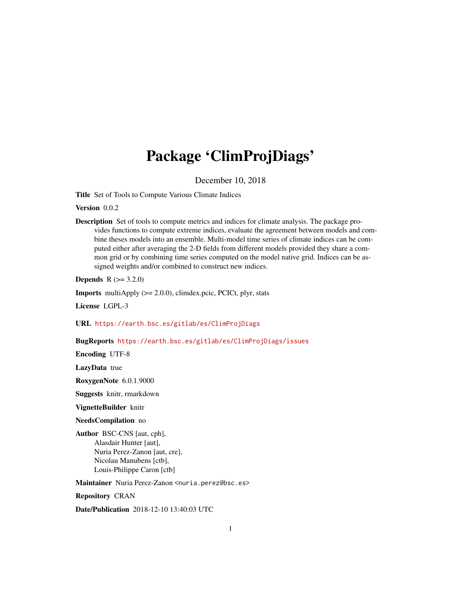# Package 'ClimProjDiags'

December 10, 2018

Title Set of Tools to Compute Various Climate Indices

Version 0.0.2

Description Set of tools to compute metrics and indices for climate analysis. The package provides functions to compute extreme indices, evaluate the agreement between models and combine theses models into an ensemble. Multi-model time series of climate indices can be computed either after averaging the 2-D fields from different models provided they share a common grid or by combining time series computed on the model native grid. Indices can be assigned weights and/or combined to construct new indices.

**Depends**  $R (= 3.2.0)$ 

**Imports** multiApply  $(>= 2.0.0)$ , climdex.pcic, PCICt, plyr, stats

License LGPL-3

URL <https://earth.bsc.es/gitlab/es/ClimProjDiags>

BugReports <https://earth.bsc.es/gitlab/es/ClimProjDiags/issues>

Encoding UTF-8

LazyData true

RoxygenNote 6.0.1.9000

Suggests knitr, rmarkdown

VignetteBuilder knitr

NeedsCompilation no

Author BSC-CNS [aut, cph], Alasdair Hunter [aut], Nuria Perez-Zanon [aut, cre], Nicolau Manubens [ctb], Louis-Philippe Caron [ctb]

Maintainer Nuria Perez-Zanon <nuria.perez@bsc.es>

Repository CRAN

Date/Publication 2018-12-10 13:40:03 UTC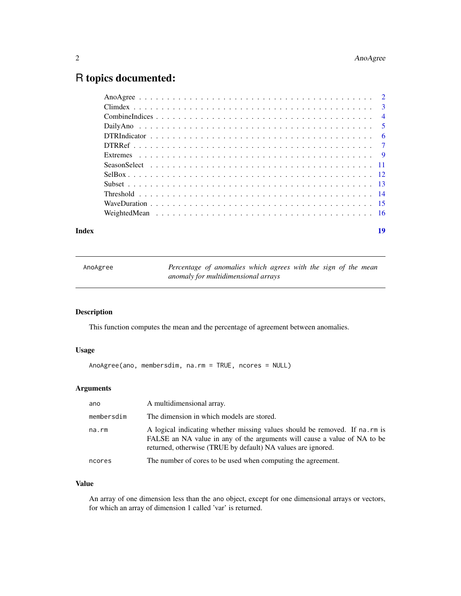# <span id="page-1-0"></span>R topics documented:

#### **Index** 2008 **Index** 2008 **Index**

| AnoAgree | Percentage of anomalies which agrees with the sign of the mean |  |  |  |  |  |
|----------|----------------------------------------------------------------|--|--|--|--|--|
|          | anomaly for multidimensional arrays                            |  |  |  |  |  |

# Description

This function computes the mean and the percentage of agreement between anomalies.

# Usage

```
AnoAgree(ano, membersdim, na.rm = TRUE, ncores = NULL)
```
# Arguments

| ano        | A multidimensional array.                                                                                                                                                                                              |
|------------|------------------------------------------------------------------------------------------------------------------------------------------------------------------------------------------------------------------------|
| membersdim | The dimension in which models are stored.                                                                                                                                                                              |
| na.rm      | A logical indicating whether missing values should be removed. If na.rm is<br>FALSE an NA value in any of the arguments will cause a value of NA to be<br>returned, otherwise (TRUE by default) NA values are ignored. |
| ncores     | The number of cores to be used when computing the agreement.                                                                                                                                                           |

# Value

An array of one dimension less than the ano object, except for one dimensional arrays or vectors, for which an array of dimension 1 called 'var' is returned.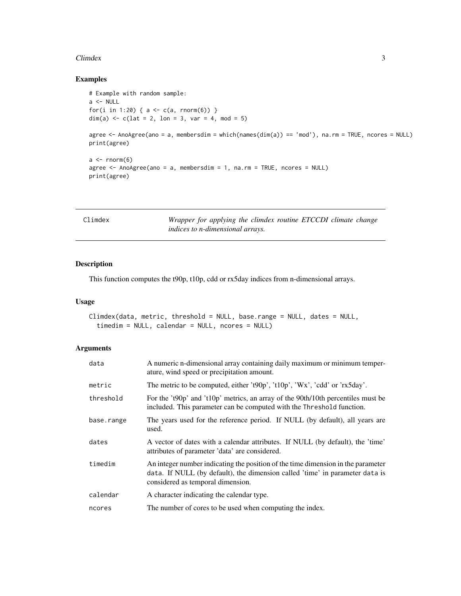#### <span id="page-2-0"></span>Climdex 3

# Examples

```
# Example with random sample:
a \leftarrow \text{NULL}for(i in 1:20) { a \leq c(a, \text{norm}(6)) }
dim(a) \leq c(lat = 2, lon = 3, var = 4, mod = 5)
agree <- AnoAgree(ano = a, membersdim = which(names(dim(a)) == 'mod'), na.rm = TRUE, ncores = NULL)
print(agree)
a \leftarrow \text{norm}(6)agree <- AnoAgree(ano = a, membersdim = 1, na.rm = TRUE, ncores = NULL)
print(agree)
```

| Climdex | Wrapper for applying the climdex routine ETCCDI climate change |  |  |  |  |
|---------|----------------------------------------------------------------|--|--|--|--|
|         | indices to n-dimensional arrays.                               |  |  |  |  |

# Description

This function computes the t90p, t10p, cdd or rx5day indices from n-dimensional arrays.

# Usage

```
Climdex(data, metric, threshold = NULL, base.range = NULL, dates = NULL,
  timedim = NULL, calendar = NULL, ncores = NULL)
```

| data       | A numeric n-dimensional array containing daily maximum or minimum temper-<br>ature, wind speed or precipitation amount.                                                                               |
|------------|-------------------------------------------------------------------------------------------------------------------------------------------------------------------------------------------------------|
| metric     | The metric to be computed, either 't $90p'$ , 't $10p'$ , 'Wx', 'cdd' or 'rx5day'.                                                                                                                    |
| threshold  | For the 't90p' and 't10p' metrics, an array of the 90th/10th percentiles must be<br>included. This parameter can be computed with the Threshold function.                                             |
| base.range | The years used for the reference period. If NULL (by default), all years are<br>used.                                                                                                                 |
| dates      | A vector of dates with a calendar attributes. If NULL (by default), the 'time'<br>attributes of parameter 'data' are considered.                                                                      |
| timedim    | An integer number indicating the position of the time dimension in the parameter<br>data. If NULL (by default), the dimension called 'time' in parameter data is<br>considered as temporal dimension. |
| calendar   | A character indicating the calendar type.                                                                                                                                                             |
| ncores     | The number of cores to be used when computing the index.                                                                                                                                              |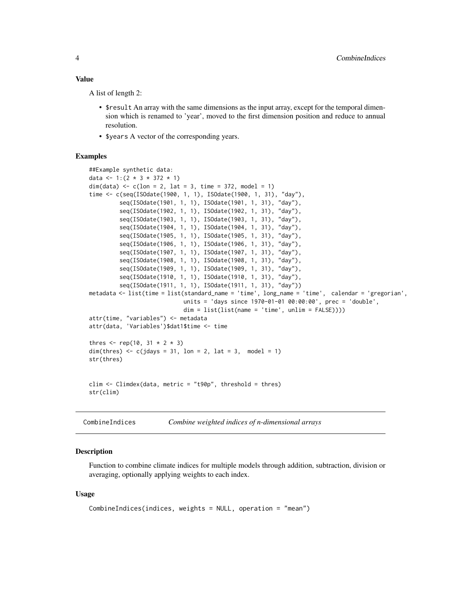<span id="page-3-0"></span>A list of length 2:

- \$result An array with the same dimensions as the input array, except for the temporal dimension which is renamed to 'year', moved to the first dimension position and reduce to annual resolution.
- \$years A vector of the corresponding years.

### Examples

```
##Example synthetic data:
data <- 1:(2 * 3 * 372 * 1)dim(data) <- c(lon = 2, lat = 3, time = 372, model = 1)
time <- c(seq(ISOdate(1900, 1, 1), ISOdate(1900, 1, 31), "day"),
         seq(ISOdate(1901, 1, 1), ISOdate(1901, 1, 31), "day"),
         seq(ISOdate(1902, 1, 1), ISOdate(1902, 1, 31), "day"),
         seq(ISOdate(1903, 1, 1), ISOdate(1903, 1, 31), "day"),
         seq(ISOdate(1904, 1, 1), ISOdate(1904, 1, 31), "day"),
         seq(ISOdate(1905, 1, 1), ISOdate(1905, 1, 31), "day"),
         seq(ISOdate(1906, 1, 1), ISOdate(1906, 1, 31), "day"),
         seq(ISOdate(1907, 1, 1), ISOdate(1907, 1, 31), "day"),
         seq(ISOdate(1908, 1, 1), ISOdate(1908, 1, 31), "day"),
         seq(ISOdate(1909, 1, 1), ISOdate(1909, 1, 31), "day"),
         seq(ISOdate(1910, 1, 1), ISOdate(1910, 1, 31), "day"),
         seq(ISOdate(1911, 1, 1), ISOdate(1911, 1, 31), "day"))
metadata <- list(time = list(standard_name = 'time', long_name = 'time', calendar = 'gregorian',
                            units = 'days since 1970-01-01 00:00:00', prec = 'double',
                            dim = list(list(name = 'time', unlim = FALSE))))
attr(time, "variables") <- metadata
attr(data, 'Variables')$dat1$time <- time
thres \leq rep(10, 31 \neq 2 \neq 3)
dim(thres) \leq c(jdays = 31, lon = 2, lat = 3, model = 1)
str(thres)
clim <- Climdex(data, metric = "t90p", threshold = thres)
str(clim)
```

```
CombineIndices Combine weighted indices of n-dimensional arrays
```
#### Description

Function to combine climate indices for multiple models through addition, subtraction, division or averaging, optionally applying weights to each index.

#### Usage

```
CombineIndices(indices, weights = NULL, operation = "mean")
```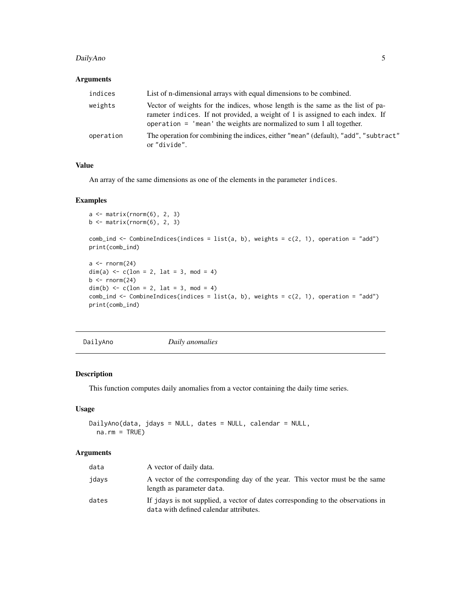#### <span id="page-4-0"></span>DailyAno 5

# Arguments

| indices   | List of n-dimensional arrays with equal dimensions to be combined.                                                                                                                                                                        |
|-----------|-------------------------------------------------------------------------------------------------------------------------------------------------------------------------------------------------------------------------------------------|
| weights   | Vector of weights for the indices, whose length is the same as the list of pa-<br>rameter indices. If not provided, a weight of 1 is assigned to each index. If<br>operation $=$ 'mean' the weights are normalized to sum 1 all together. |
| operation | The operation for combining the indices, either "mean" (default), "add", "subtract"<br>or "divide".                                                                                                                                       |

# Value

An array of the same dimensions as one of the elements in the parameter indices.

#### Examples

```
a \leftarrow matrix(rnorm(6), 2, 3)b \leftarrow \text{matrix}(rnorm(6), 2, 3)comb\_ind \leftarrow CombineIndices(indices = list(a, b), weights = c(2, 1), operation = "add")print(comb_ind)
a \leftarrow \text{norm}(24)dim(a) <-c(lon = 2, lat = 3, mod = 4)
b \leq -rnorm(24)dim(b) <-c(lon = 2, lat = 3, mod = 4)
comb\_ind \leftarrow CombineIndices(indices = list(a, b), weights = c(2, 1), operation = "add")print(comb_ind)
```
DailyAno *Daily anomalies*

# Description

This function computes daily anomalies from a vector containing the daily time series.

# Usage

```
DailyAno(data, jdays = NULL, dates = NULL, calendar = NULL,
 na.rm = TRUE)
```

| data  | A vector of daily data.                                                                                                    |
|-------|----------------------------------------------------------------------------------------------------------------------------|
| jdays | A vector of the corresponding day of the year. This vector must be the same<br>length as parameter data.                   |
| dates | If jdays is not supplied, a vector of dates corresponding to the observations in<br>data with defined calendar attributes. |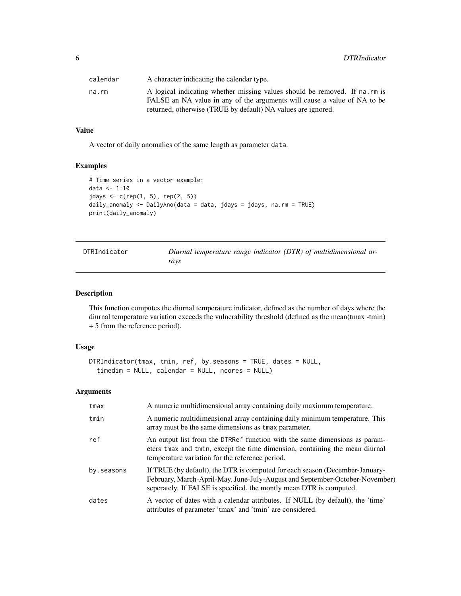<span id="page-5-0"></span>

| calendar | A character indicating the calendar type.                                  |
|----------|----------------------------------------------------------------------------|
| na.rm    | A logical indicating whether missing values should be removed. If na.rm is |
|          | FALSE an NA value in any of the arguments will cause a value of NA to be   |
|          | returned, otherwise (TRUE by default) NA values are ignored.               |

A vector of daily anomalies of the same length as parameter data.

# Examples

```
# Time series in a vector example:
data <- 1:10
jdays < -c(rep(1, 5), rep(2, 5))daily_anomaly <- DailyAno(data = data, jdays = jdays, na.rm = TRUE)
print(daily_anomaly)
```

| DTRIndicator | Diurnal temperature range indicator (DTR) of multidimensional ar- |
|--------------|-------------------------------------------------------------------|
|              | ravs                                                              |

# Description

This function computes the diurnal temperature indicator, defined as the number of days where the diurnal temperature variation exceeds the vulnerability threshold (defined as the mean(tmax -tmin) + 5 from the reference period).

# Usage

```
DTRIndicator(tmax, tmin, ref, by.seasons = TRUE, dates = NULL,
  timedim = NULL, calendar = NULL, ncores = NULL)
```

| tmax       | A numeric multidimensional array containing daily maximum temperature.                                                                                                                                                             |
|------------|------------------------------------------------------------------------------------------------------------------------------------------------------------------------------------------------------------------------------------|
| tmin       | A numeric multidimensional array containing daily minimum temperature. This<br>array must be the same dimensions as tmax parameter.                                                                                                |
| ref        | An output list from the DTRRef function with the same dimensions as param-<br>eters tmax and tmin, except the time dimension, containing the mean diurnal<br>temperature variation for the reference period.                       |
| by.seasons | If TRUE (by default), the DTR is computed for each season (December-January-<br>February, March-April-May, June-July-August and September-October-November)<br>seperately. If FALSE is specified, the montly mean DTR is computed. |
| dates      | A vector of dates with a calendar attributes. If NULL (by default), the 'time'<br>attributes of parameter 'tmax' and 'tmin' are considered.                                                                                        |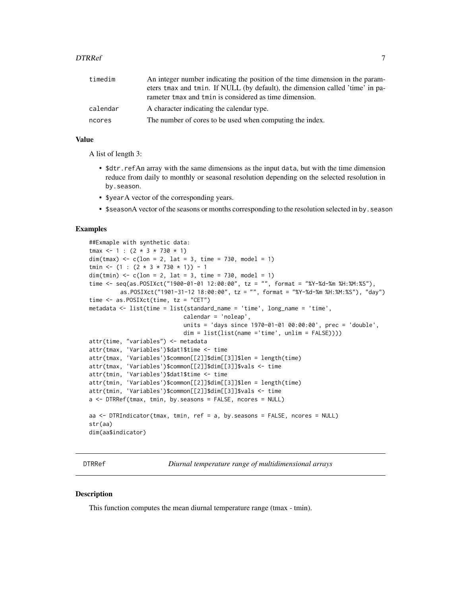<span id="page-6-0"></span>

| timedim  | An integer number indicating the position of the time dimension in the param-<br>eters tmax and tmin. If NULL (by default), the dimension called 'time' in pa-<br>rameter tmax and tmin is considered as time dimension. |
|----------|--------------------------------------------------------------------------------------------------------------------------------------------------------------------------------------------------------------------------|
| calendar | A character indicating the calendar type.                                                                                                                                                                                |
| ncores   | The number of cores to be used when computing the index.                                                                                                                                                                 |

A list of length 3:

- \$dtr.refAn array with the same dimensions as the input data, but with the time dimension reduce from daily to monthly or seasonal resolution depending on the selected resolution in by.season.
- \$yearA vector of the corresponding years.
- \$seasonA vector of the seasons or months corresponding to the resolution selected in by . season

# **Examples**

```
##Exmaple with synthetic data:
tmax < -1 : (2 * 3 * 730 * 1)dim(tmax) <- c(lon = 2, lat = 3, time = 730, model = 1)
tmin <- (1 : (2 * 3 * 730 * 1)) - 1dim(tmin) <- c(lon = 2, lat = 3, time = 730, model = 1)time <- seq(as.POSIXct("1900-01-01 12:00:00", tz = "", format = "%Y-%d-%m %H:%M:%S"),
         as.POSIXct("1901-31-12 18:00:00", tz = "", format = "%Y-%d-%m %H:%M:%S"), "day")
time <- as.POSIXct(time, tz = "CET")
metadata \leq list(time = list(standard_name = 'time', long_name = 'time',
                            calendar = 'noleap',
                            units = 'days since 1970-01-01 00:00:00', prec = 'double',
                            dim = list(list(name ='time', unlim = FALSE))))
attr(time, "variables") <- metadata
attr(tmax, 'Variables')$dat1$time <- time
attr(tmax, 'Variables')$common[[2]]$dim[[3]]$len = length(time)
attr(tmax, 'Variables')$common[[2]]$dim[[3]]$vals <- time
attr(tmin, 'Variables')$dat1$time <- time
attr(tmin, 'Variables')$common[[2]]$dim[[3]]$len = length(time)
attr(tmin, 'Variables')$common[[2]]$dim[[3]]$vals <- time
a <- DTRRef(tmax, tmin, by.seasons = FALSE, ncores = NULL)
aa \leq DTRIndicator(tmax, tmin, ref = a, by. seasons = FALSE, ncores = NULL)
str(aa)
dim(aa$indicator)
```
DTRRef *Diurnal temperature range of multidimensional arrays*

#### Description

This function computes the mean diurnal temperature range (tmax - tmin).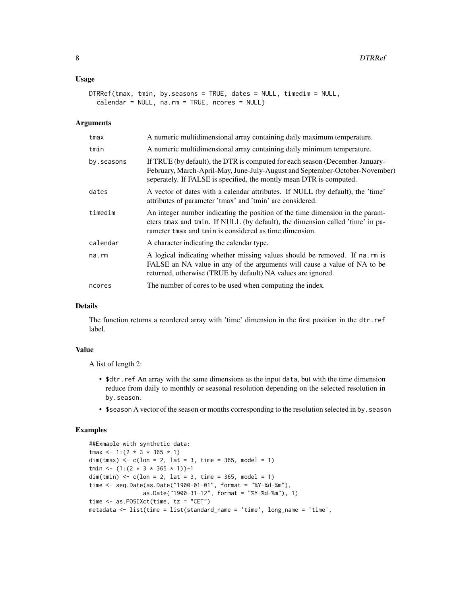#### Usage

```
DTRRef(tmax, tmin, by.seasons = TRUE, dates = NULL, timedim = NULL,
  calendar = NULL, na.rm = TRUE, ncores = NULL)
```
#### Arguments

| tmax       | A numeric multidimensional array containing daily maximum temperature.                                                                                                                                                             |
|------------|------------------------------------------------------------------------------------------------------------------------------------------------------------------------------------------------------------------------------------|
| tmin       | A numeric multidimensional array containing daily minimum temperature.                                                                                                                                                             |
| by.seasons | If TRUE (by default), the DTR is computed for each season (December-January-<br>February, March-April-May, June-July-August and September-October-November)<br>seperately. If FALSE is specified, the montly mean DTR is computed. |
| dates      | A vector of dates with a calendar attributes. If NULL (by default), the 'time'<br>attributes of parameter 'tmax' and 'tmin' are considered.                                                                                        |
| timedim    | An integer number indicating the position of the time dimension in the param-<br>eters tmax and tmin. If NULL (by default), the dimension called 'time' in pa-<br>rameter tmax and tmin is considered as time dimension.           |
| calendar   | A character indicating the calendar type.                                                                                                                                                                                          |
| na.rm      | A logical indicating whether missing values should be removed. If na.rm is<br>FALSE an NA value in any of the arguments will cause a value of NA to be<br>returned, otherwise (TRUE by default) NA values are ignored.             |
| ncores     | The number of cores to be used when computing the index.                                                                                                                                                                           |
|            |                                                                                                                                                                                                                                    |

# Details

The function returns a reordered array with 'time' dimension in the first position in the dtr.ref label.

#### Value

A list of length 2:

- \$dtr.ref An array with the same dimensions as the input data, but with the time dimension reduce from daily to monthly or seasonal resolution depending on the selected resolution in by.season.
- \$season A vector of the season or months corresponding to the resolution selected in by.season

```
##Exmaple with synthetic data:
\text{tmax} <- 1:(2 * 3 * 365 * 1)
dim(tmax) \leq -c(1 \text{on} = 2, 1 \text{at} = 3, \text{time} = 365, \text{model} = 1)tmin <- (1:(2 * 3 * 365 * 1))-1
dim(tmin) <- c(\text{lon} = 2, \text{lat} = 3, \text{time} = 365, \text{model} = 1)time <- seq.Date(as.Date("1900-01-01", format = "%Y-%d-%m"),
                  as.Date("1900-31-12", format = "%Y-%d-%m"), 1)
time \leq as. POSIXct(time, tz = "CET")
metadata <- list(time = list(standard_name = 'time', long_name = 'time',
```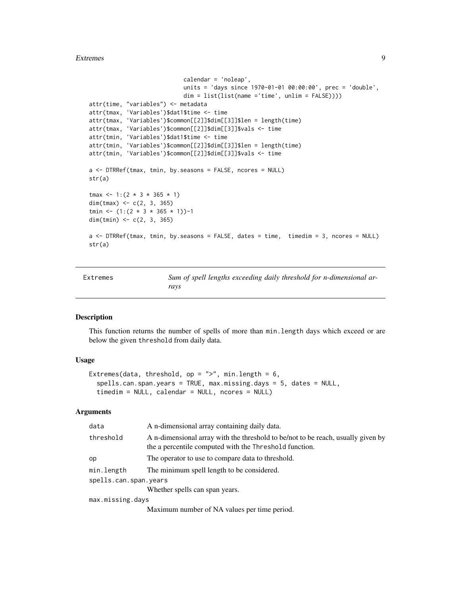#### <span id="page-8-0"></span>Extremes 9

```
calendar = 'noleap',
                            units = 'days since 1970-01-01 00:00:00', prec = 'double',
                            dim = list(list(name ='time', unlim = FALSE))))
attr(time, "variables") <- metadata
attr(tmax, 'Variables')$dat1$time <- time
attr(tmax, 'Variables')$common[[2]]$dim[[3]]$len = length(time)
attr(tmax, 'Variables')$common[[2]]$dim[[3]]$vals <- time
attr(tmin, 'Variables')$dat1$time <- time
attr(tmin, 'Variables')$common[[2]]$dim[[3]]$len = length(time)
attr(tmin, 'Variables')$common[[2]]$dim[[3]]$vals <- time
a <- DTRRef(tmax, tmin, by.seasons = FALSE, ncores = NULL)
str(a)
tmax \, 4 - 1: (2 * 3 * 365 * 1)dim(tmax) <- c(2, 3, 365)
tmin <- (1:(2 * 3 * 365 * 1))-1
dim(tmin) <- c(2, 3, 365)
a <- DTRRef(tmax, tmin, by.seasons = FALSE, dates = time, timedim = 3, ncores = NULL)
str(a)
```

| Extremes | Sum of spell lengths exceeding daily threshold for n-dimensional ar- |
|----------|----------------------------------------------------------------------|
|          | ravs                                                                 |

#### Description

This function returns the number of spells of more than min.length days which exceed or are below the given threshold from daily data.

#### Usage

```
Extremes(data, threshold, op = ">", min.length = 6,
  spells.can.span.years = TRUE, max.missing.days = 5, dates = NULL,
  timedim = NULL, calendar = NULL, ncores = NULL)
```

| data                  | A n-dimensional array containing daily data.                                                                                               |
|-----------------------|--------------------------------------------------------------------------------------------------------------------------------------------|
| threshold             | A n-dimensional array with the threshold to be/not to be reach, usually given by<br>the a percentile computed with the Threshold function. |
| op                    | The operator to use to compare data to threshold.                                                                                          |
| min.length            | The minimum spell length to be considered.                                                                                                 |
| spells.can.span.years |                                                                                                                                            |
|                       | Whether spells can span years.                                                                                                             |
| max.missing.days      |                                                                                                                                            |
|                       | Maximum number of NA values per time period.                                                                                               |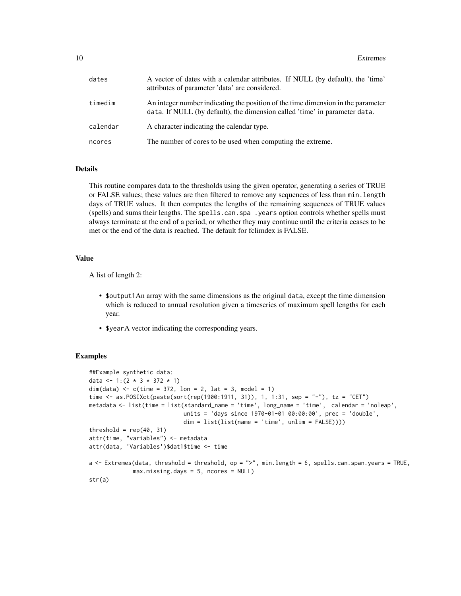| dates    | A vector of dates with a calendar attributes. If NULL (by default), the 'time'<br>attributes of parameter 'data' are considered.                               |
|----------|----------------------------------------------------------------------------------------------------------------------------------------------------------------|
| timedim  | An integer number indicating the position of the time dimension in the parameter<br>data. If NULL (by default), the dimension called 'time' in parameter data. |
| calendar | A character indicating the calendar type.                                                                                                                      |
| ncores   | The number of cores to be used when computing the extreme.                                                                                                     |

# Details

This routine compares data to the thresholds using the given operator, generating a series of TRUE or FALSE values; these values are then filtered to remove any sequences of less than min.length days of TRUE values. It then computes the lengths of the remaining sequences of TRUE values (spells) and sums their lengths. The spells.can.spa .years option controls whether spells must always terminate at the end of a period, or whether they may continue until the criteria ceases to be met or the end of the data is reached. The default for fclimdex is FALSE.

#### Value

A list of length 2:

- \$output1An array with the same dimensions as the original data, except the time dimension which is reduced to annual resolution given a timeseries of maximum spell lengths for each year.
- \$yearA vector indicating the corresponding years.

```
##Example synthetic data:
data <- 1:(2 * 3 * 372 * 1)dim(data) <- c(time = 372, lon = 2, lat = 3, model = 1)
time <- as.POSIXct(paste(sort(rep(1900:1911, 31)), 1, 1:31, sep = "-"), tz = "CET")
metadata <- list(time = list(standard_name = 'time', long_name = 'time', calendar = 'noleap',
                            units = 'days since 1970-01-01 00:00:00', prec = 'double',
                            dim = list(list(name = 'time', unlim = FALSE))))
threshold = rep(40, 31)attr(time, "variables") <- metadata
attr(data, 'Variables')$dat1$time <- time
a <- Extremes(data, threshold = threshold, op = ">", min.length = 6, spells.can.span.years = TRUE,
             max.missing.days = 5, ncores = NULL)
str(a)
```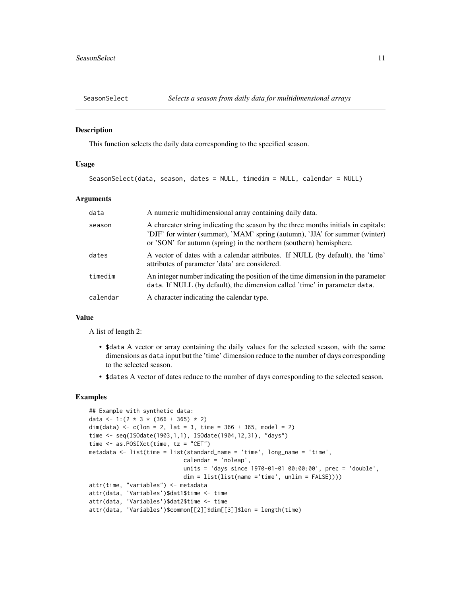<span id="page-10-0"></span>

#### Description

This function selects the daily data corresponding to the specified season.

# Usage

```
SeasonSelect(data, season, dates = NULL, timedim = NULL, calendar = NULL)
```
#### Arguments

| data     | A numeric multidimensional array containing daily data.                                                                                                                                                                                  |
|----------|------------------------------------------------------------------------------------------------------------------------------------------------------------------------------------------------------------------------------------------|
| season   | A charcater string indicating the season by the three months initials in capitals:<br>'DJF' for winter (summer), 'MAM' spring (autumn), 'JJA' for summer (winter)<br>or 'SON' for autumn (spring) in the northern (southern) hemisphere. |
| dates    | A vector of dates with a calendar attributes. If NULL (by default), the 'time'<br>attributes of parameter 'data' are considered.                                                                                                         |
| timedim  | An integer number indicating the position of the time dimension in the parameter<br>data. If NULL (by default), the dimension called 'time' in parameter data.                                                                           |
| calendar | A character indicating the calendar type.                                                                                                                                                                                                |

#### Value

A list of length 2:

- \$data A vector or array containing the daily values for the selected season, with the same dimensions as data input but the 'time' dimension reduce to the number of days corresponding to the selected season.
- \$dates A vector of dates reduce to the number of days corresponding to the selected season.

```
## Example with synthetic data:
data <- 1:(2 \times 3 \times (366 + 365) \times 2)dim(data) <- c(lon = 2, lat = 3, time = 366 + 365, model = 2)
time <- seq(ISOdate(1903,1,1), ISOdate(1904,12,31), "days")
time <- as.POSIXct(time, tz = "CET")
metadata <- list(time = list(standard_name = 'time', long_name = 'time',
                             calendar = 'noleap',
                             units = 'days since 1970-01-01 00:00:00', prec = 'double',
                            dim = list(list(name ='time', unlim = FALSE))))
attr(time, "variables") <- metadata
attr(data, 'Variables')$dat1$time <- time
attr(data, 'Variables')$dat2$time <- time
attr(data, 'Variables')$common[[2]]$dim[[3]]$len = length(time)
```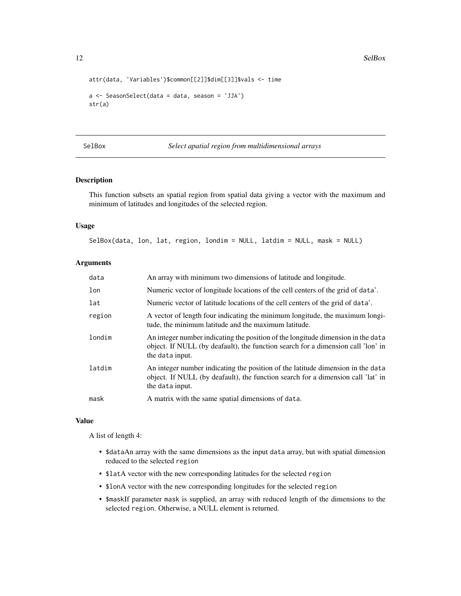12 SelBox

```
attr(data, 'Variables')$common[[2]]$dim[[3]]$vals <- time
a <- SeasonSelect(data = data, season = 'JJA')
str(a)
```
SelBox *Select apatial region from multidimensional arrays*

# Description

This function subsets an spatial region from spatial data giving a vector with the maximum and minimum of latitudes and longitudes of the selected region.

#### Usage

SelBox(data, lon, lat, region, londim = NULL, latdim = NULL, mask = NULL)

# Arguments

| data   | An array with minimum two dimensions of latitude and longitude.                                                                                                                         |
|--------|-----------------------------------------------------------------------------------------------------------------------------------------------------------------------------------------|
| lon    | Numeric vector of longitude locations of the cell centers of the grid of data'.                                                                                                         |
| lat    | Numeric vector of latitude locations of the cell centers of the grid of data'.                                                                                                          |
| region | A vector of length four indicating the minimum longitude, the maximum longi-<br>tude, the minimum latitude and the maximum latitude.                                                    |
| londim | An integer number indicating the position of the longitude dimension in the data<br>object. If NULL (by deafault), the function search for a dimension call 'lon' in<br>the data input. |
| latdim | An integer number indicating the position of the latitude dimension in the data<br>object. If NULL (by deafault), the function search for a dimension call 'lat' in<br>the data input.  |
| mask   | A matrix with the same spatial dimensions of data.                                                                                                                                      |

#### Value

A list of length 4:

- \$dataAn array with the same dimensions as the input data array, but with spatial dimension reduced to the selected region
- \$latA vector with the new corresponding latitudes for the selected region
- \$lonA vector with the new corresponding longitudes for the selected region
- \$maskIf parameter mask is supplied, an array with reduced length of the dimensions to the selected region. Otherwise, a NULL element is returned.

<span id="page-11-0"></span>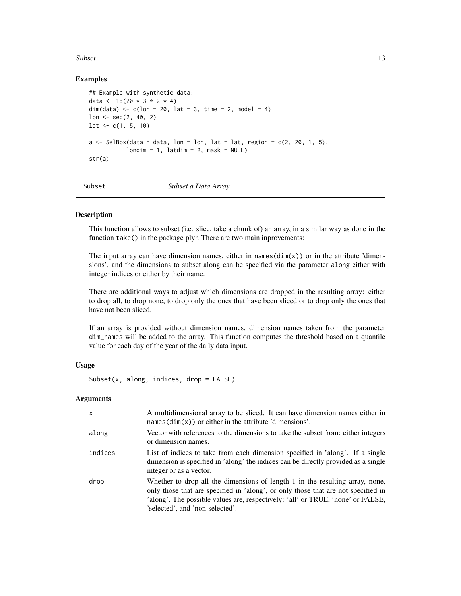#### <span id="page-12-0"></span>Subset 13

# Examples

```
## Example with synthetic data:
data <- 1:(20 * 3 * 2 * 4)dim(data) \leq c (lon = 20, lat = 3, time = 2, model = 4)
lon \leq seq(2, 40, 2)
lat \leq c(1, 5, 10)a \leftarrow SelBox(data = data, lon = lon, lat = lat, region = c(2, 20, 1, 5),
           londim = 1, lational = 2, mask = NULL)
str(a)
```
Subset *Subset a Data Array*

# **Description**

This function allows to subset (i.e. slice, take a chunk of) an array, in a similar way as done in the function take() in the package plyr. There are two main inprovements:

The input array can have dimension names, either in names( $\dim(x)$ ) or in the attribute 'dimensions', and the dimensions to subset along can be specified via the parameter along either with integer indices or either by their name.

There are additional ways to adjust which dimensions are dropped in the resulting array: either to drop all, to drop none, to drop only the ones that have been sliced or to drop only the ones that have not been sliced.

If an array is provided without dimension names, dimension names taken from the parameter dim\_names will be added to the array. This function computes the threshold based on a quantile value for each day of the year of the daily data input.

#### Usage

```
Subset(x, along, indices, drop = FALSE)
```

| $\mathsf{x}$ | A multidimensional array to be sliced. It can have dimension names either in<br>$names(dim(x))$ or either in the attribute 'dimensions'.                                                                                                                                                |
|--------------|-----------------------------------------------------------------------------------------------------------------------------------------------------------------------------------------------------------------------------------------------------------------------------------------|
| along        | Vector with references to the dimensions to take the subset from: either integers<br>or dimension names.                                                                                                                                                                                |
| indices      | List of indices to take from each dimension specified in 'along'. If a single<br>dimension is specified in 'along' the indices can be directly provided as a single<br>integer or as a vector.                                                                                          |
| drop         | Whether to drop all the dimensions of length 1 in the resulting array, none,<br>only those that are specified in 'along', or only those that are not specified in<br>'along'. The possible values are, respectively: 'all' or TRUE, 'none' or FALSE,<br>'selected', and 'non-selected'. |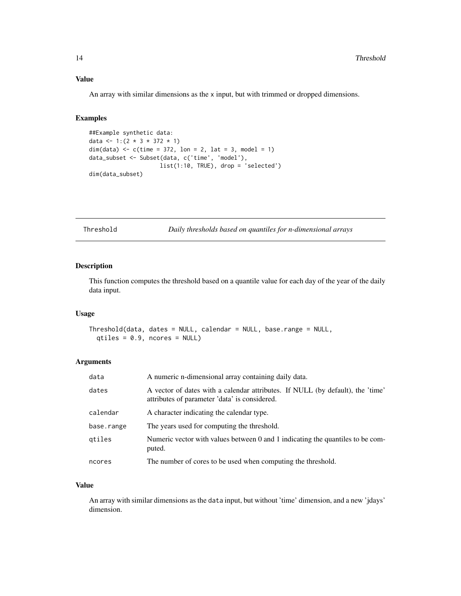<span id="page-13-0"></span>An array with similar dimensions as the x input, but with trimmed or dropped dimensions.

# Examples

```
##Example synthetic data:
data <- 1:(2 * 3 * 372 * 1)dim(data) \leq c(time = 372, lon = 2, lat = 3, model = 1)
data_subset <- Subset(data, c('time', 'model'),
                     list(1:10, TRUE), drop = 'selected')
dim(data_subset)
```
Threshold *Daily thresholds based on quantiles for n-dimensional arrays*

# Description

This function computes the threshold based on a quantile value for each day of the year of the daily data input.

#### Usage

Threshold(data, dates = NULL, calendar = NULL, base.range = NULL,  $qtiles = 0.9$ , ncores = NULL)

#### Arguments

| data       | A numeric n-dimensional array containing daily data.                                                                            |
|------------|---------------------------------------------------------------------------------------------------------------------------------|
| dates      | A vector of dates with a calendar attributes. If NULL (by default), the 'time'<br>attributes of parameter 'data' is considered. |
| calendar   | A character indicating the calendar type.                                                                                       |
| base.range | The years used for computing the threshold.                                                                                     |
| qtiles     | Numeric vector with values between 0 and 1 indicating the quantiles to be com-<br>puted.                                        |
| ncores     | The number of cores to be used when computing the threshold.                                                                    |

# Value

An array with similar dimensions as the data input, but without 'time' dimension, and a new 'jdays' dimension.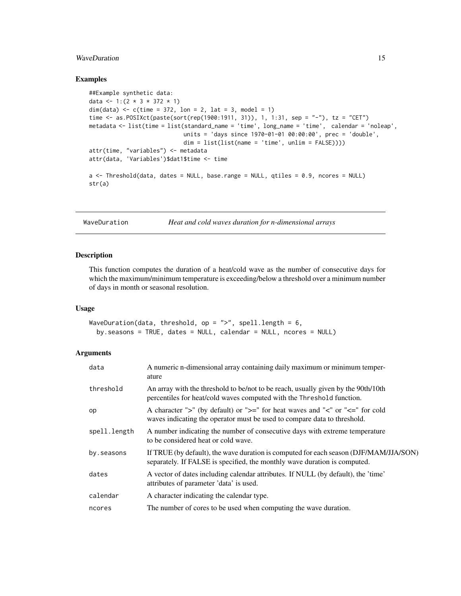# <span id="page-14-0"></span>WaveDuration 15

#### Examples

```
##Example synthetic data:
data <- 1:(2 \times 3 \times 372 \times 1)dim(data) <- c(time = 372, lon = 2, lat = 3, model = 1)
time <- as.POSIXct(paste(sort(rep(1900:1911, 31)), 1, 1:31, sep = "-"), tz = "CET")
metadata <- list(time = list(standard_name = 'time', long_name = 'time', calendar = 'noleap',
                             units = 'days since 1970-01-01 00:00:00', prec = 'double',
                            dim = list(list(name = 'time', unlim = FALSE))))attr(time, "variables") <- metadata
attr(data, 'Variables')$dat1$time <- time
a <- Threshold(data, dates = NULL, base.range = NULL, qtiles = 0.9, ncores = NULL)
str(a)
```
WaveDuration *Heat and cold waves duration for n-dimensional arrays*

#### Description

This function computes the duration of a heat/cold wave as the number of consecutive days for which the maximum/minimum temperature is exceeding/below a threshold over a minimum number of days in month or seasonal resolution.

#### Usage

WaveDuration(data, threshold, op =  $"$ ), spell.length = 6, by.seasons = TRUE, dates = NULL, calendar = NULL, ncores = NULL)

| data         | A numeric n-dimensional array containing daily maximum or minimum temper-<br>ature                                                                                 |
|--------------|--------------------------------------------------------------------------------------------------------------------------------------------------------------------|
| threshold    | An array with the threshold to be/not to be reach, usually given by the 90th/10th<br>percentiles for heat/cold waves computed with the Threshold function.         |
| op           | A character ">" (by default) or ">=" for heat waves and "<" or "<=" for cold<br>waves indicating the operator must be used to compare data to threshold.           |
| spell.length | A number indicating the number of consecutive days with extreme temperature<br>to be considered heat or cold wave.                                                 |
| by.seasons   | If TRUE (by default), the wave duration is computed for each season (DJF/MAM/JJA/SON)<br>separately. If FALSE is specified, the monthly wave duration is computed. |
| dates        | A vector of dates including calendar attributes. If NULL (by default), the 'time'<br>attributes of parameter 'data' is used.                                       |
| calendar     | A character indicating the calendar type.                                                                                                                          |
| ncores       | The number of cores to be used when computing the wave duration.                                                                                                   |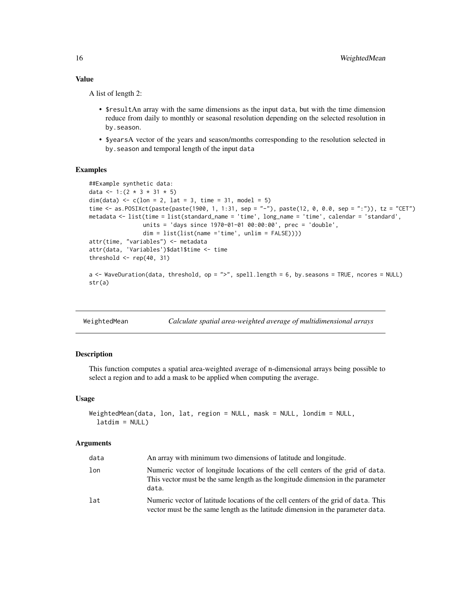<span id="page-15-0"></span>A list of length 2:

- \$resultAn array with the same dimensions as the input data, but with the time dimension reduce from daily to monthly or seasonal resolution depending on the selected resolution in by.season.
- \$yearsA vector of the years and season/months corresponding to the resolution selected in by.season and temporal length of the input data

# Examples

```
##Example synthetic data:
data <- 1:(2 * 3 * 31 * 5)dim(data) \leq c (lon = 2, lat = 3, time = 31, model = 5)
time <- as.POSIXct(paste(paste(1900, 1, 1:31, sep = "-"), paste(12, 0, 0.0, sep = ":")), tz = "CET")
metadata <- list(time = list(standard_name = 'time', long_name = 'time', calendar = 'standard',
                units = 'days since 1970-01-01 00:00:00', prec = 'double',
                dim = list(list(name ='time', unlim = FALSE))))
attr(time, "variables") <- metadata
attr(data, 'Variables')$dat1$time <- time
threshold \leq rep(40, 31)
a <- WaveDuration(data, threshold, op = ">", spell.length = 6, by.seasons = TRUE, ncores = NULL)
str(a)
```
WeightedMean *Calculate spatial area-weighted average of multidimensional arrays*

# Description

This function computes a spatial area-weighted average of n-dimensional arrays being possible to select a region and to add a mask to be applied when computing the average.

#### Usage

```
WeightedMean(data, lon, lat, region = NULL, mask = NULL, londim = NULL,
  latdim = NULL)
```

| data | An array with minimum two dimensions of latitude and longitude.                                                                                                            |
|------|----------------------------------------------------------------------------------------------------------------------------------------------------------------------------|
| lon  | Numeric vector of longitude locations of the cell centers of the grid of data.<br>This vector must be the same length as the longitude dimension in the parameter<br>data. |
| lat  | Numeric vector of latitude locations of the cell centers of the grid of data. This<br>vector must be the same length as the latitude dimension in the parameter data.      |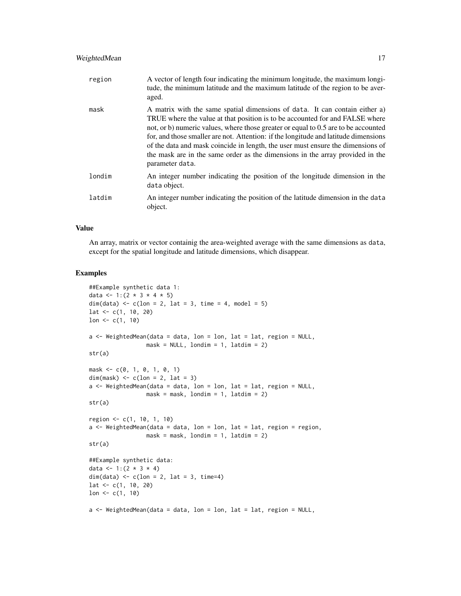# WeightedMean 17

| region | A vector of length four indicating the minimum longitude, the maximum longi-<br>tude, the minimum latitude and the maximum latitude of the region to be aver-<br>aged.                                                                                                                                                                                                                                                                                                                                                          |
|--------|---------------------------------------------------------------------------------------------------------------------------------------------------------------------------------------------------------------------------------------------------------------------------------------------------------------------------------------------------------------------------------------------------------------------------------------------------------------------------------------------------------------------------------|
| mask   | A matrix with the same spatial dimensions of data. It can contain either a)<br>TRUE where the value at that position is to be accounted for and FALSE where<br>not, or b) numeric values, where those greater or equal to 0.5 are to be accounted<br>for, and those smaller are not. Attention: if the longitude and latitude dimensions<br>of the data and mask coincide in length, the user must ensure the dimensions of<br>the mask are in the same order as the dimensions in the array provided in the<br>parameter data. |
| londim | An integer number indicating the position of the longitude dimension in the<br>data object.                                                                                                                                                                                                                                                                                                                                                                                                                                     |
| latdim | An integer number indicating the position of the latitude dimension in the data<br>object.                                                                                                                                                                                                                                                                                                                                                                                                                                      |

# Value

An array, matrix or vector containig the area-weighted average with the same dimensions as data, except for the spatial longitude and latitude dimensions, which disappear.

```
##Example synthetic data 1:
data <- 1:(2 * 3 * 4 * 5)dim(data) \leq c(lon = 2, lat = 3, time = 4, model = 5)
lat \leq -c(1, 10, 20)lon <-c(1, 10)a \leq WeightedMean(data = data, lon = lon, lat = lat, region = NULL,
                  mask = NULL, londim = 1, latdim = 2)
str(a)
mask <- c(0, 1, 0, 1, 0, 1)
dim(mask) \leftarrow c(\text{lon} = 2, \text{lat} = 3)a \leq WeightedMean(data = data, lon = lon, lat = lat, region = NULL,
                  mask = mask, londim = 1, latdim = 2)
str(a)
region <- c(1, 10, 1, 10)
a \leftarrow WeightedMean(data = data, lon = lon, lat = lat, region = region,
                  mask = mask, londim = 1, latdim = 2)
str(a)
##Example synthetic data:
data <- 1:(2 * 3 * 4)dim(data) <-c(lon = 2, lat = 3, time=4)
lat <- c(1, 10, 20)
lon <-c(1, 10)a \leq WeightedMean(data = data, lon = lon, lat = lat, region = NULL,
```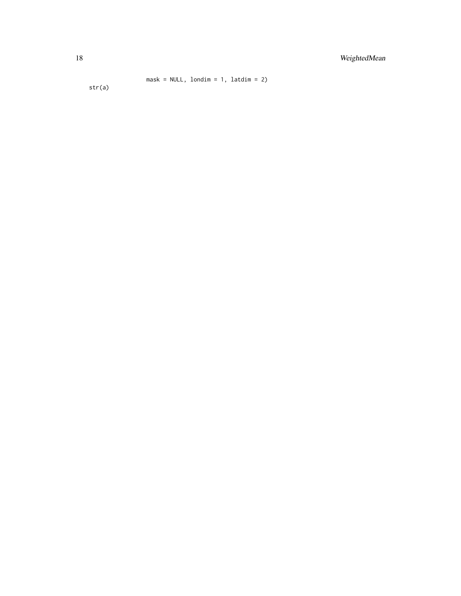```
mask = NULL, londim = 1, latdim = 2)
```
str(a)